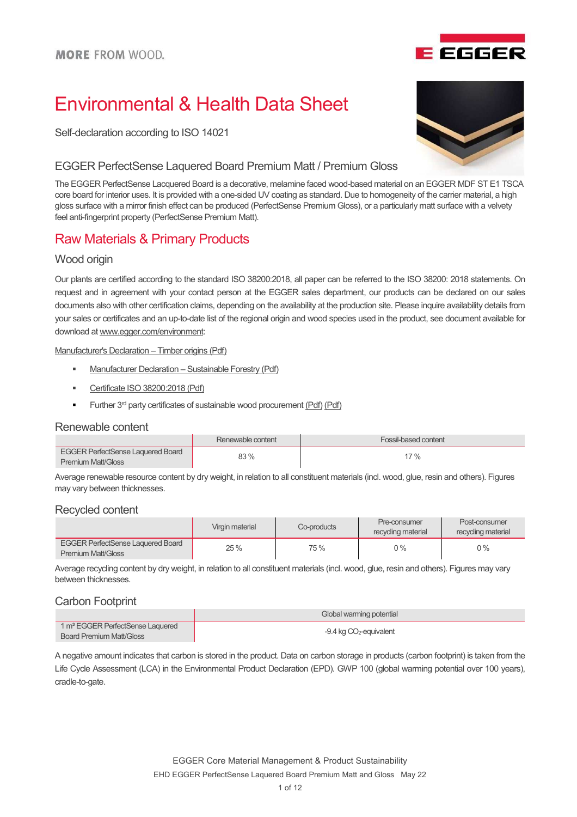

Self-declaration according to ISO 14021

#### EGGER PerfectSense Laquered Board Premium Matt / Premium Gloss

The EGGER PerfectSense Lacquered Board is a decorative, melamine faced wood-based material on an EGGER MDF ST E1 TSCA core board for interior uses. It is provided with a one-sided UV coating as standard. Due to homogeneity of the carrier material, a high gloss surface with a mirror finish effect can be produced (PerfectSense Premium Gloss), or a particularly matt surface with a velvety feel anti-fingerprint property (PerfectSense Premium Matt).

## Raw Materials & Primary Products

### Wood origin

Our plants are certified according to the standard ISO 38200:2018, all paper can be referred to the ISO 38200: 2018 statements. On request and in agreement with your contact person at the EGGER sales department, our products can be declared on our sales documents also with other certification claims, depending on the availability at the production site. Please inquire availability details from your sales or certificates and an up-to-date list of the regional origin and wood species used in the product, see document available for download at www.egger.com/environment:

Manufacturer's Declaration – Timber origins (Pdf)

- Manufacturer Declaration Sustainable Forestry (Pdf)
- Certificate ISO 38200:2018 (Pdf)
- Further 3<sup>rd</sup> party certificates of sustainable wood procurement (Pdf) (Pdf)

#### Renewable content

|                                          | Renewable content | Fossil-based content |
|------------------------------------------|-------------------|----------------------|
| <b>EGGER PerfectSense Laquered Board</b> | 83%               | $17\%$               |
| <b>Premium Matt/Gloss</b>                |                   |                      |

Average renewable resource content by dry weight, in relation to all constituent materials (incl. wood, glue, resin and others). Figures may vary between thicknesses.

#### Recycled content

|                                                                       | Virgin material | Co-products | Pre-consumer<br>recycling material | Post-consumer<br>recycling material |
|-----------------------------------------------------------------------|-----------------|-------------|------------------------------------|-------------------------------------|
| <b>EGGER PerfectSense Laquered Board</b><br><b>Premium Matt/Gloss</b> | 25 %            | 75 %        | $0\%$                              | $0\%$                               |

Average recycling content by dry weight, in relation to all constituent materials (incl. wood, glue, resin and others). Figures may vary between thicknesses.

### Carbon Footprint

|                                              | Global warming potential    |
|----------------------------------------------|-----------------------------|
| 1 m <sup>3</sup> EGGER PerfectSense Laquered | $-9.4$ kg $CO2$ -equivalent |
| Board Premium Matt/Gloss                     |                             |

A negative amount indicates that carbon is stored in the product. Data on carbon storage in products (carbon footprint) is taken from the Life Cycle Assessment (LCA) in the Environmental Product Declaration (EPD). GWP 100 (global warming potential over 100 years), cradle-to-gate.



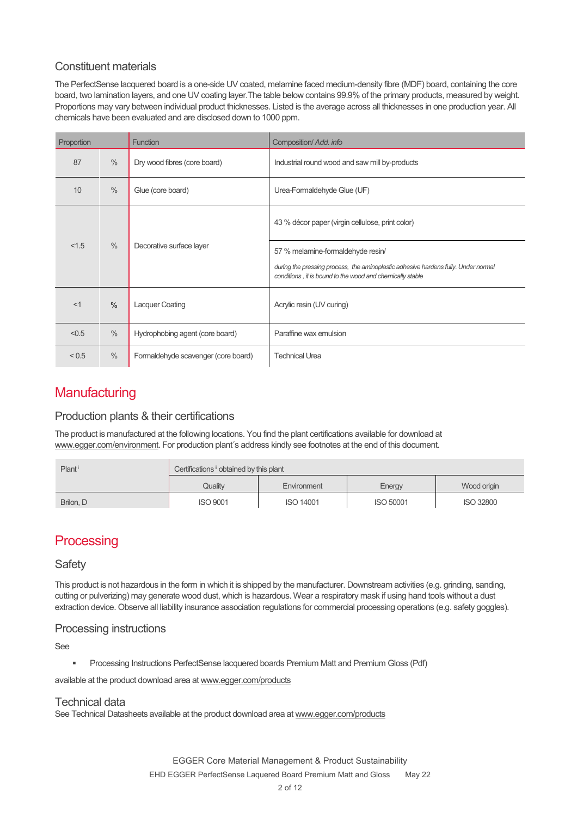### Constituent materials

The PerfectSense lacquered board is a one-side UV coated, melamine faced medium-density fibre (MDF) board, containing the core board, two lamination layers, and one UV coating layer.The table below contains 99.9% of the primary products, measured by weight. Proportions may vary between individual product thicknesses. Listed is the average across all thicknesses in one production year. All chemicals have been evaluated and are disclosed down to 1000 ppm.

| Proportion                                |                                   | <b>Function</b>                     | Composition/ Add. info                                                                                                                          |
|-------------------------------------------|-----------------------------------|-------------------------------------|-------------------------------------------------------------------------------------------------------------------------------------------------|
| 87                                        | $\frac{0}{0}$                     | Dry wood fibres (core board)        | Industrial round wood and saw mill by-products                                                                                                  |
| 10                                        | $\%$                              | Glue (core board)                   | Urea-Formaldehyde Glue (UF)                                                                                                                     |
|                                           |                                   |                                     | 43 % décor paper (virgin cellulose, print color)                                                                                                |
| $\%$<br>< 1.5<br>Decorative surface layer | 57 % melamine-formaldehyde resin/ |                                     |                                                                                                                                                 |
|                                           |                                   |                                     | during the pressing process, the aminoplastic adhesive hardens fully. Under normal<br>conditions, it is bound to the wood and chemically stable |
| <1                                        | $\frac{0}{0}$                     | <b>Lacquer Coating</b>              | Acrylic resin (UV curing)                                                                                                                       |
| < 0.5                                     | $\%$                              | Hydrophobing agent (core board)     | Paraffine wax emulsion                                                                                                                          |
| < 0.5                                     | $\%$                              | Formaldehyde scavenger (core board) | <b>Technical Urea</b>                                                                                                                           |

## **Manufacturing**

### Production plants & their certifications

The product is manufactured at the following locations. You find the plant certifications available for download at www.egger.com/environment. For production plant's address kindly see footnotes at the end of this document.

| Plant <sup>i</sup> | Certifications i obtained by this plant |                  |                  |                  |
|--------------------|-----------------------------------------|------------------|------------------|------------------|
|                    | Quality                                 | Environment      | Energy           | Wood origin      |
| Brilon, D          | <b>ISO 9001</b>                         | <b>ISO 14001</b> | <b>ISO 50001</b> | <b>ISO 32800</b> |

# **Processing**

### **Safety**

This product is not hazardous in the form in which it is shipped by the manufacturer. Downstream activities (e.g. grinding, sanding, cutting or pulverizing) may generate wood dust, which is hazardous. Wear a respiratory mask if using hand tools without a dust extraction device. Observe all liability insurance association regulations for commercial processing operations (e.g. safety goggles).

#### Processing instructions

See

Processing Instructions PerfectSense lacquered boards Premium Matt and Premium Gloss (Pdf)

available at the product download area at www.egger.com/products

#### Technical data

See Technical Datasheets available at the product download area at www.egger.com/products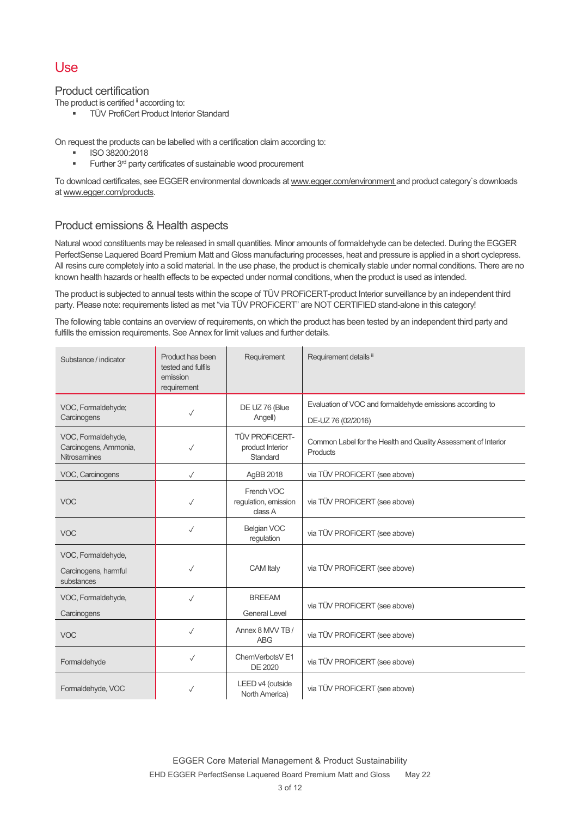## Use

#### Product certification

The product is certified <sup>ii</sup> according to:

**TÜV ProfiCert Product Interior Standard** 

On request the products can be labelled with a certification claim according to:

- ISO 38200:2018
- Further 3rd party certificates of sustainable wood procurement

To download certificates, see EGGER environmental downloads at www.egger.com/environment and product category`s downloads at www.egger.com/products.

### Product emissions & Health aspects

Natural wood constituents may be released in small quantities. Minor amounts of formaldehyde can be detected. During the EGGER PerfectSense Laquered Board Premium Matt and Gloss manufacturing processes, heat and pressure is applied in a short cyclepress. All resins cure completely into a solid material. In the use phase, the product is chemically stable under normal conditions. There are no known health hazards or health effects to be expected under normal conditions, when the product is used as intended.

The product is subjected to annual tests within the scope of TÜV PROFiCERT-product Interior surveillance by an independent third party. Please note: requirements listed as met "via TÜV PROFiCERT" are NOT CERTIFIED stand-alone in this category!

The following table contains an overview of requirements, on which the product has been tested by an independent third party and fulfills the emission requirements. See Annex for limit values and further details.

| Substance / indicator                                              | Product has been<br>tested and fulfils<br>emission<br>requirement | Requirement                                           | Requirement details ii                                                          |
|--------------------------------------------------------------------|-------------------------------------------------------------------|-------------------------------------------------------|---------------------------------------------------------------------------------|
| VOC, Formaldehyde;<br>Carcinogens                                  | $\checkmark$                                                      | DE UZ 76 (Blue<br>Angell)                             | Evaluation of VOC and formaldehyde emissions according to<br>DE-UZ 76 (02/2016) |
| VOC, Formaldehyde,<br>Carcinogens, Ammonia,<br><b>Nitrosamines</b> | $\checkmark$                                                      | <b>TÜV PROFICERT-</b><br>product Interior<br>Standard | Common Label for the Health and Quality Assessment of Interior<br>Products      |
| VOC, Carcinogens                                                   | $\checkmark$                                                      | AgBB 2018                                             | via TÜV PROFICERT (see above)                                                   |
| <b>VOC</b>                                                         | $\checkmark$                                                      | French VOC<br>regulation, emission<br>class A         | via TÜV PROFICERT (see above)                                                   |
| <b>VOC</b>                                                         | $\checkmark$                                                      | Belgian VOC<br>regulation                             | via TÜV PROFICERT (see above)                                                   |
| VOC, Formaldehyde,<br>Carcinogens, harmful<br>substances           | $\checkmark$                                                      | <b>CAM</b> Italy                                      | via TÜV PROFICERT (see above)                                                   |
| VOC, Formaldehyde,<br>Carcinogens                                  | ✓                                                                 | <b>BREEAM</b><br><b>General Level</b>                 | via TÜV PROFICERT (see above)                                                   |
| <b>VOC</b>                                                         | $\checkmark$                                                      | Annex 8 MVV TB /<br><b>ABG</b>                        | via TÜV PROFiCERT (see above)                                                   |
| Formaldehyde                                                       | $\checkmark$                                                      | ChemVerbotsV <sub>E1</sub><br>DE 2020                 | via TÜV PROFICERT (see above)                                                   |
| Formaldehyde, VOC                                                  | $\checkmark$                                                      | LEED v4 (outside<br>North America)                    | via TÜV PROFICERT (see above)                                                   |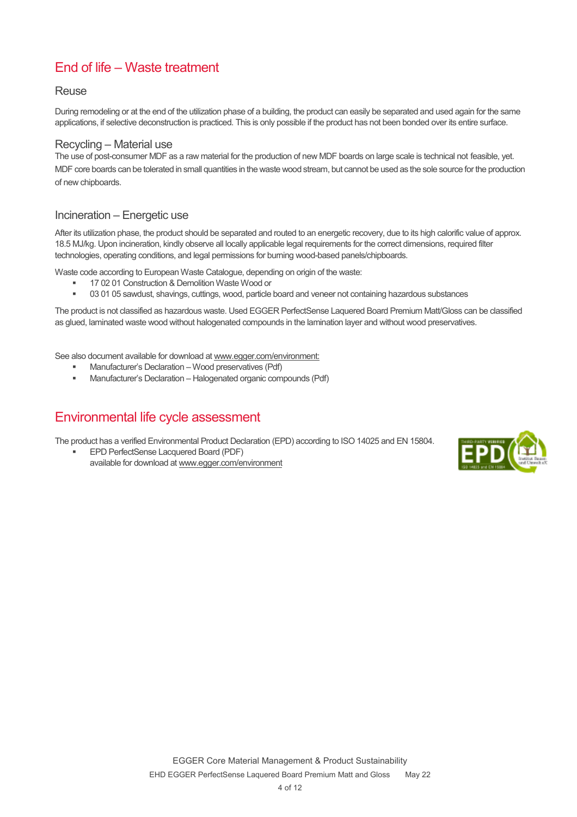# End of life – Waste treatment

#### Reuse

During remodeling or at the end of the utilization phase of a building, the product can easily be separated and used again for the same applications, if selective deconstruction is practiced. This is only possible if the product has not been bonded over its entire surface.

#### Recycling – Material use

The use of post-consumer MDF as a raw material for the production of new MDF boards on large scale is technical not feasible, yet. MDF core boards can be tolerated in small quantities in the waste wood stream, but cannot be used as the sole source for the production of new chipboards.

### Incineration – Energetic use

After its utilization phase, the product should be separated and routed to an energetic recovery, due to its high calorific value of approx. 18.5 MJ/kg. Upon incineration, kindly observe all locally applicable legal requirements for the correct dimensions, required filter technologies, operating conditions, and legal permissions for burning wood-based panels/chipboards.

Waste code according to European Waste Catalogue, depending on origin of the waste:

- 17 02 01 Construction & Demolition Waste Wood or
- 03 01 05 sawdust, shavings, cuttings, wood, particle board and veneer not containing hazardous substances

The product is not classified as hazardous waste. Used EGGER PerfectSense Laquered Board Premium Matt/Gloss can be classified as glued, laminated waste wood without halogenated compounds in the lamination layer and without wood preservatives.

See also document available for download at www.egger.com/environment:

- Manufacturer's Declaration Wood preservatives (Pdf)
- Manufacturer's Declaration Halogenated organic compounds (Pdf)

## Environmental life cycle assessment

The product has a verified Environmental Product Declaration (EPD) according to ISO 14025 and EN 15804.

 EPD PerfectSense Lacquered Board (PDF) available for download at www.egger.com/environment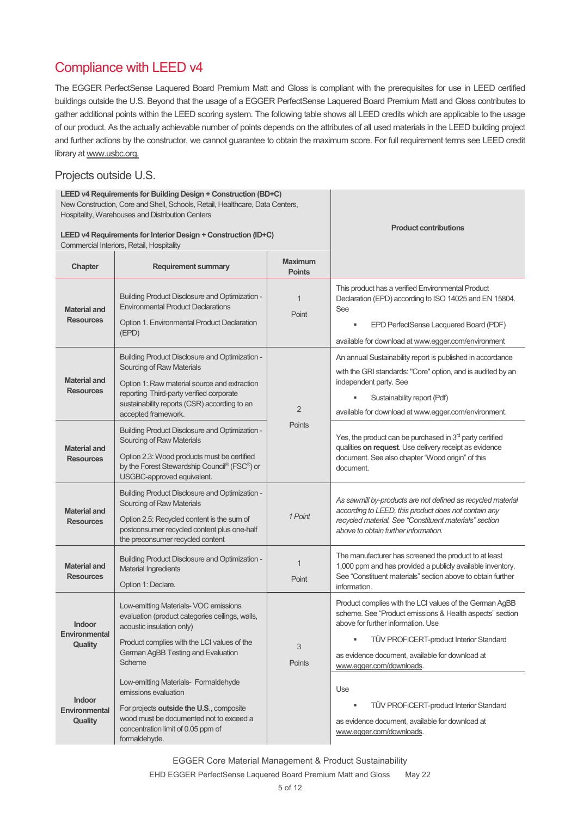# Compliance with LEED v4

The EGGER PerfectSense Laquered Board Premium Matt and Gloss is compliant with the prerequisites for use in LEED certified buildings outside the U.S. Beyond that the usage of a EGGER PerfectSense Laquered Board Premium Matt and Gloss contributes to gather additional points within the LEED scoring system. The following table shows all LEED credits which are applicable to the usage of our product. As the actually achievable number of points depends on the attributes of all used materials in the LEED building project and further actions by the constructor, we cannot guarantee to obtain the maximum score. For full requirement terms see LEED credit library at www.usbc.org.

### Projects outside U.S.

| LEED v4 Requirements for Building Design + Construction (BD+C)<br>New Construction, Core and Shell, Schools, Retail, Healthcare, Data Centers,<br>Hospitality, Warehouses and Distribution Centers |                                                                                                                                                                                                                                                       |                                 | <b>Product contributions</b>                                                                                                                                                                                                                                                             |
|----------------------------------------------------------------------------------------------------------------------------------------------------------------------------------------------------|-------------------------------------------------------------------------------------------------------------------------------------------------------------------------------------------------------------------------------------------------------|---------------------------------|------------------------------------------------------------------------------------------------------------------------------------------------------------------------------------------------------------------------------------------------------------------------------------------|
| LEED v4 Requirements for Interior Design + Construction (ID+C)<br>Commercial Interiors, Retail, Hospitality                                                                                        |                                                                                                                                                                                                                                                       |                                 |                                                                                                                                                                                                                                                                                          |
| Chapter                                                                                                                                                                                            | <b>Requirement summary</b>                                                                                                                                                                                                                            | <b>Maximum</b><br><b>Points</b> |                                                                                                                                                                                                                                                                                          |
| <b>Material and</b><br><b>Resources</b>                                                                                                                                                            | <b>Building Product Disclosure and Optimization -</b><br><b>Environmental Product Declarations</b><br>Option 1. Environmental Product Declaration<br>(EPD)                                                                                            | $\overline{1}$<br>Point         | This product has a verified Environmental Product<br>Declaration (EPD) according to ISO 14025 and EN 15804.<br>See<br>EPD PerfectSense Lacquered Board (PDF)<br>available for download at www.egger.com/environment                                                                      |
| <b>Material and</b><br><b>Resources</b>                                                                                                                                                            | <b>Building Product Disclosure and Optimization -</b><br>Sourcing of Raw Materials<br>Option 1: Raw material source and extraction<br>reporting Third-party verified corporate<br>sustainability reports (CSR) according to an<br>accepted framework. | $\overline{2}$                  | An annual Sustainability report is published in accordance<br>with the GRI standards: "Core" option, and is audited by an<br>independent party. See<br>Sustainability report (Pdf)<br>available for download at www.egger.com/environment.                                               |
| <b>Material and</b><br><b>Resources</b>                                                                                                                                                            | <b>Building Product Disclosure and Optimization -</b><br>Sourcing of Raw Materials<br>Option 2.3: Wood products must be certified<br>by the Forest Stewardship Council® (FSC®) or<br>USGBC-approved equivalent.                                       | Points                          | Yes, the product can be purchased in 3 <sup>rd</sup> party certified<br>qualities on request. Use delivery receipt as evidence<br>document. See also chapter "Wood origin" of this<br>document.                                                                                          |
| <b>Material and</b><br><b>Resources</b>                                                                                                                                                            | <b>Building Product Disclosure and Optimization -</b><br>Sourcing of Raw Materials<br>Option 2.5: Recycled content is the sum of<br>postconsumer recycled content plus one-half<br>the preconsumer recycled content                                   | 1 Point                         | As sawmill by-products are not defined as recycled material<br>according to LEED, this product does not contain any<br>recycled material. See "Constituent materials" section<br>above to obtain further information.                                                                    |
| <b>Material and</b><br><b>Resources</b>                                                                                                                                                            | <b>Building Product Disclosure and Optimization -</b><br><b>Material Ingredients</b><br>Option 1: Declare.                                                                                                                                            | 1<br>Point                      | The manufacturer has screened the product to at least<br>1,000 ppm and has provided a publicly available inventory.<br>See "Constituent materials" section above to obtain further<br>information.                                                                                       |
| Indoor<br>Environmental<br>Quality                                                                                                                                                                 | Low-emitting Materials- VOC emissions<br>evaluation (product categories ceilings, walls,<br>acoustic insulation only)<br>Product complies with the LCI values of the<br>German AgBB Testing and Evaluation<br>Scheme                                  | 3<br>Points                     | Product complies with the LCI values of the German AgBB<br>scheme. See "Product emissions & Health aspects" section<br>above for further information. Use<br>TÜV PROFICERT-product Interior Standard<br>٠<br>as evidence document, available for download at<br>www.eqger.com/downloads. |
| Indoor<br>Environmental<br>Quality                                                                                                                                                                 | Low-emitting Materials- Formaldehyde<br>emissions evaluation<br>For projects outside the U.S., composite<br>wood must be documented not to exceed a<br>concentration limit of 0.05 ppm of<br>formaldehyde.                                            |                                 | Use<br>TÜV PROFICERT-product Interior Standard<br>٠<br>as evidence document, available for download at<br>www.egger.com/downloads.                                                                                                                                                       |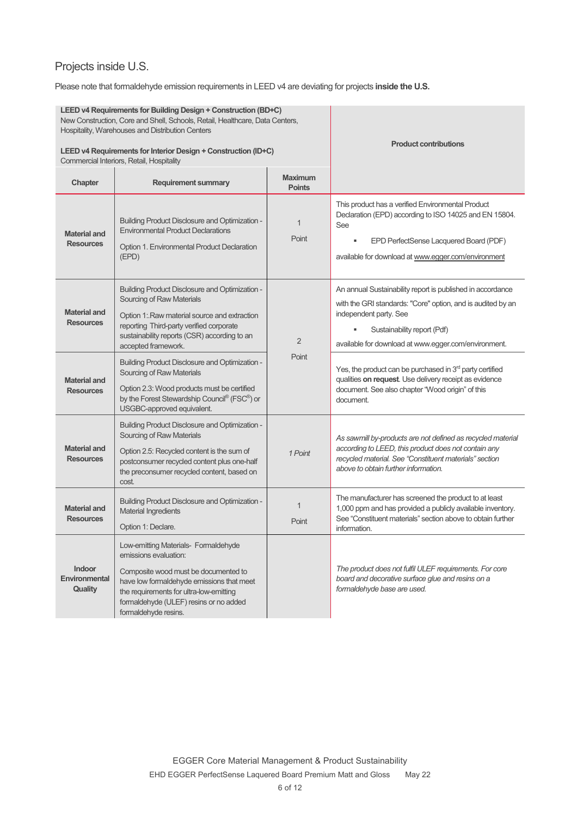# Projects inside U.S.

Please note that formaldehyde emission requirements in LEED v4 are deviating for projects **inside the U.S.**

| LEED v4 Requirements for Building Design + Construction (BD+C)<br>New Construction, Core and Shell, Schools, Retail, Healthcare, Data Centers,<br>Hospitality, Warehouses and Distribution Centers<br>LEED v4 Requirements for Interior Design + Construction (ID+C) |                                                                                                                                                                                                                                                                 |                                 | <b>Product contributions</b>                                                                                                                                                                                                               |
|----------------------------------------------------------------------------------------------------------------------------------------------------------------------------------------------------------------------------------------------------------------------|-----------------------------------------------------------------------------------------------------------------------------------------------------------------------------------------------------------------------------------------------------------------|---------------------------------|--------------------------------------------------------------------------------------------------------------------------------------------------------------------------------------------------------------------------------------------|
|                                                                                                                                                                                                                                                                      | Commercial Interiors, Retail, Hospitality                                                                                                                                                                                                                       |                                 |                                                                                                                                                                                                                                            |
| Chapter                                                                                                                                                                                                                                                              | <b>Requirement summary</b>                                                                                                                                                                                                                                      | <b>Maximum</b><br><b>Points</b> |                                                                                                                                                                                                                                            |
| <b>Material and</b><br><b>Resources</b>                                                                                                                                                                                                                              | <b>Building Product Disclosure and Optimization -</b><br><b>Environmental Product Declarations</b><br>Option 1. Environmental Product Declaration<br>(EPD)                                                                                                      | $\mathbf 1$<br>Point            | This product has a verified Environmental Product<br>Declaration (EPD) according to ISO 14025 and EN 15804.<br>See<br>EPD PerfectSense Lacquered Board (PDF)<br>available for download at www.egger.com/environment                        |
| <b>Material and</b><br><b>Resources</b>                                                                                                                                                                                                                              | <b>Building Product Disclosure and Optimization -</b><br>Sourcing of Raw Materials<br>Option 1: Raw material source and extraction<br>reporting Third-party verified corporate<br>sustainability reports (CSR) according to an<br>accepted framework.           | 2                               | An annual Sustainability report is published in accordance<br>with the GRI standards: "Core" option, and is audited by an<br>independent party. See<br>Sustainability report (Pdf)<br>available for download at www.egger.com/environment. |
| <b>Material and</b><br><b>Resources</b>                                                                                                                                                                                                                              | <b>Building Product Disclosure and Optimization -</b><br>Sourcing of Raw Materials<br>Option 2.3: Wood products must be certified<br>by the Forest Stewardship Council® (FSC®) or<br>USGBC-approved equivalent.                                                 | Point                           | Yes, the product can be purchased in 3 <sup>rd</sup> party certified<br>qualities on request. Use delivery receipt as evidence<br>document. See also chapter "Wood origin" of this<br>document.                                            |
| <b>Material and</b><br><b>Resources</b>                                                                                                                                                                                                                              | <b>Building Product Disclosure and Optimization -</b><br>Sourcing of Raw Materials<br>Option 2.5: Recycled content is the sum of<br>postconsumer recycled content plus one-half<br>the preconsumer recycled content, based on<br>cost.                          | 1 Point                         | As sawmill by-products are not defined as recycled material<br>according to LEED, this product does not contain any<br>recycled material. See "Constituent materials" section<br>above to obtain further information.                      |
| <b>Material and</b><br><b>Resources</b>                                                                                                                                                                                                                              | <b>Building Product Disclosure and Optimization -</b><br><b>Material Ingredients</b><br>Option 1: Declare.                                                                                                                                                      | $\mathbf 1$<br>Point            | The manufacturer has screened the product to at least<br>1,000 ppm and has provided a publicly available inventory.<br>See "Constituent materials" section above to obtain further<br>information.                                         |
| <b>Indoor</b><br>Environmental<br>Quality                                                                                                                                                                                                                            | Low-emitting Materials- Formaldehyde<br>emissions evaluation:<br>Composite wood must be documented to<br>have low formaldehyde emissions that meet<br>the requirements for ultra-low-emitting<br>formaldehyde (ULEF) resins or no added<br>formaldehyde resins. |                                 | The product does not fulfil ULEF requirements. For core<br>board and decorative surface glue and resins on a<br>formaldehyde base are used.                                                                                                |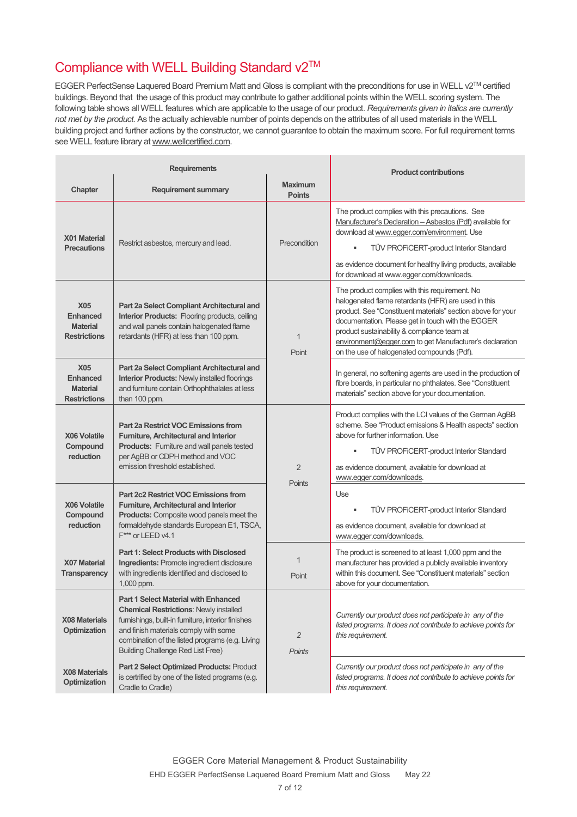# Compliance with WELL Building Standard v2™

EGGER PerfectSense Laquered Board Premium Matt and Gloss is compliant with the preconditions for use in WELL v2TM certified buildings. Beyond that the usage of this product may contribute to gather additional points within the WELL scoring system. The following table shows all WELL features which are applicable to the usage of our product. *Requirements given in italics are currently not met by the product.* As the actually achievable number of points depends on the attributes of all used materials in the WELL building project and further actions by the constructor, we cannot guarantee to obtain the maximum score. For full requirement terms see WELL feature library at www.wellcertified.com.

| <b>Requirements</b>                                                     |                                                                                                                                                                                                                                                                                            | <b>Product contributions</b>    |                                                                                                                                                                                                                                                                                                                                                                                   |
|-------------------------------------------------------------------------|--------------------------------------------------------------------------------------------------------------------------------------------------------------------------------------------------------------------------------------------------------------------------------------------|---------------------------------|-----------------------------------------------------------------------------------------------------------------------------------------------------------------------------------------------------------------------------------------------------------------------------------------------------------------------------------------------------------------------------------|
| Chapter                                                                 | <b>Requirement summary</b>                                                                                                                                                                                                                                                                 | <b>Maximum</b><br><b>Points</b> |                                                                                                                                                                                                                                                                                                                                                                                   |
| X01 Material<br><b>Precautions</b>                                      | Restrict asbestos, mercury and lead.                                                                                                                                                                                                                                                       | Precondition                    | The product complies with this precautions. See<br>Manufacturer's Declaration - Asbestos (Pdf) available for<br>download at www.egger.com/environment. Use<br>×<br><b>TÜV PROFICERT-product Interior Standard</b><br>as evidence document for healthy living products, available<br>for download at www.egger.com/downloads.                                                      |
| <b>X05</b><br><b>Enhanced</b><br><b>Material</b><br><b>Restrictions</b> | Part 2a Select Compliant Architectural and<br><b>Interior Products:</b> Flooring products, ceiling<br>and wall panels contain halogenated flame<br>retardants (HFR) at less than 100 ppm.                                                                                                  | 1<br>Point                      | The product complies with this requirement. No<br>halogenated flame retardants (HFR) are used in this<br>product. See "Constituent materials" section above for your<br>documentation. Please get in touch with the EGGER<br>product sustainability & compliance team at<br>environment@egger.com to get Manufacturer's declaration<br>on the use of halogenated compounds (Pdf). |
| <b>X05</b><br><b>Enhanced</b><br><b>Material</b><br><b>Restrictions</b> | Part 2a Select Compliant Architectural and<br><b>Interior Products: Newly installed floorings</b><br>and furniture contain Orthophthalates at less<br>than 100 ppm.                                                                                                                        |                                 | In general, no softening agents are used in the production of<br>fibre boards, in particular no phthalates. See "Constituent<br>materials" section above for your documentation.                                                                                                                                                                                                  |
| X06 Volatile<br>Compound<br>reduction                                   | Part 2a Restrict VOC Emissions from<br>Furniture, Architectural and Interior<br><b>Products:</b> Furniture and wall panels tested<br>per AgBB or CDPH method and VOC<br>emission threshold established.                                                                                    | $\overline{2}$                  | Product complies with the LCI values of the German AgBB<br>scheme. See "Product emissions & Health aspects" section<br>above for further information. Use<br><b>TUV PROFICERT-product Interior Standard</b><br>as evidence document, available for download at<br>www.egger.com/downloads.                                                                                        |
| <b>X06 Volatile</b><br>Compound<br>reduction                            | <b>Part 2c2 Restrict VOC Emissions from</b><br>Furniture, Architectural and Interior<br><b>Products:</b> Composite wood panels meet the<br>formaldehyde standards European E1, TSCA,<br>F*** or LEED v4.1                                                                                  | Points                          | Use<br>TÜV PROFICERT-product Interior Standard<br>as evidence document, available for download at<br>www.egger.com/downloads.                                                                                                                                                                                                                                                     |
| <b>X07 Material</b><br><b>Transparency</b>                              | <b>Part 1: Select Products with Disclosed</b><br>Ingredients: Promote ingredient disclosure<br>with ingredients identified and disclosed to<br>1,000 ppm.                                                                                                                                  | $\overline{1}$<br>Point         | The product is screened to at least 1,000 ppm and the<br>manufacturer has provided a publicly available inventory<br>within this document. See "Constituent materials" section<br>above for your documentation.                                                                                                                                                                   |
| <b>X08 Materials</b><br><b>Optimization</b>                             | <b>Part 1 Select Material with Enhanced</b><br><b>Chemical Restrictions: Newly installed</b><br>furnishings, built-in furniture, interior finishes<br>and finish materials comply with some<br>combination of the listed programs (e.g. Living<br><b>Building Challenge Red List Free)</b> | $\overline{c}$<br><b>Points</b> | Currently our product does not participate in any of the<br>listed programs. It does not contribute to achieve points for<br>this requirement.                                                                                                                                                                                                                                    |
| X08 Materials<br>Optimization                                           | Part 2 Select Optimized Products: Product<br>is certrified by one of the listed programs (e.g.<br>Cradle to Cradle)                                                                                                                                                                        |                                 | Currently our product does not participate in any of the<br>listed programs. It does not contribute to achieve points for<br>this requirement.                                                                                                                                                                                                                                    |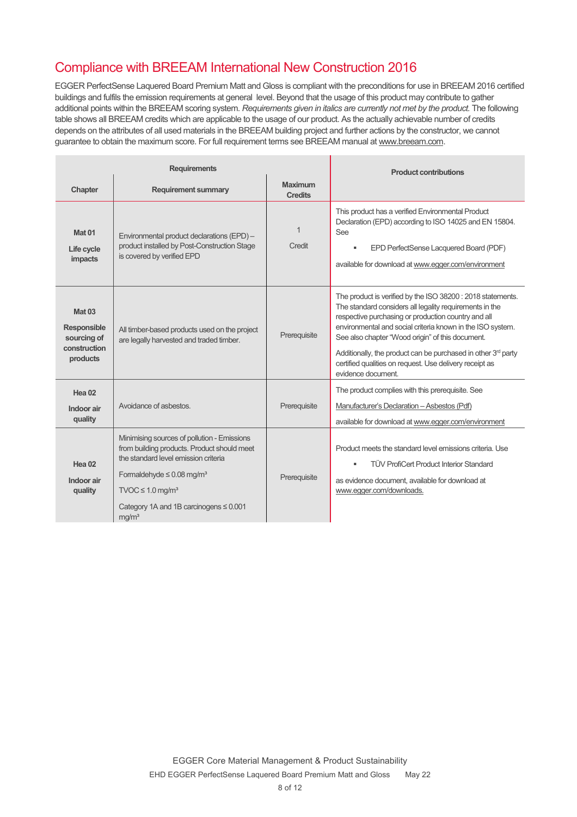# Compliance with BREEAM International New Construction 2016

EGGER PerfectSense Laquered Board Premium Matt and Gloss is compliant with the preconditions for use in BREEAM 2016 certified buildings and fulfils the emission requirements at general level. Beyond that the usage of this product may contribute to gather additional points within the BREEAM scoring system. *Requirements given in italics are currently not met by the product.* The following table shows all BREEAM credits which are applicable to the usage of our product. As the actually achievable number of credits depends on the attributes of all used materials in the BREEAM building project and further actions by the constructor, we cannot guarantee to obtain the maximum score. For full requirement terms see BREEAM manual at www.breeam.com.

| <b>Requirements</b>                                                     |                                                                                                                                                                                                                                                                                           |                                  | <b>Product contributions</b>                                                                                                                                                                                                                                                                                                                                                                                                                        |
|-------------------------------------------------------------------------|-------------------------------------------------------------------------------------------------------------------------------------------------------------------------------------------------------------------------------------------------------------------------------------------|----------------------------------|-----------------------------------------------------------------------------------------------------------------------------------------------------------------------------------------------------------------------------------------------------------------------------------------------------------------------------------------------------------------------------------------------------------------------------------------------------|
| Chapter                                                                 | <b>Requirement summary</b>                                                                                                                                                                                                                                                                | <b>Maximum</b><br><b>Credits</b> |                                                                                                                                                                                                                                                                                                                                                                                                                                                     |
| Mat <sub>01</sub><br>Life cycle<br>impacts                              | Environmental product declarations (EPD) -<br>product installed by Post-Construction Stage<br>is covered by verified EPD                                                                                                                                                                  | $\mathbf{1}$<br>Credit           | This product has a verified Environmental Product<br>Declaration (EPD) according to ISO 14025 and EN 15804.<br>See<br>EPD PerfectSense Lacquered Board (PDF)<br>٠<br>available for download at www.egger.com/environment                                                                                                                                                                                                                            |
| <b>Mat 03</b><br>Responsible<br>sourcing of<br>construction<br>products | All timber-based products used on the project<br>are legally harvested and traded timber.                                                                                                                                                                                                 | Prerequisite                     | The product is verified by the ISO 38200 : 2018 statements.<br>The standard considers all legality requirements in the<br>respective purchasing or production country and all<br>environmental and social criteria known in the ISO system.<br>See also chapter "Wood origin" of this document.<br>Additionally, the product can be purchased in other $3rd$ party<br>certified qualities on request. Use delivery receipt as<br>evidence document. |
| Hea <sub>02</sub><br>Indoor air<br>quality                              | Avoidance of asbestos                                                                                                                                                                                                                                                                     | Prerequisite                     | The product complies with this prerequisite. See<br>Manufacturer's Declaration - Asbestos (Pdf)<br>available for download at www.egger.com/environment                                                                                                                                                                                                                                                                                              |
| Hea <sub>02</sub><br>Indoor air<br>quality                              | Minimising sources of pollution - Emissions<br>from building products. Product should meet<br>the standard level emission criteria<br>Formaldehyde $\leq 0.08$ mg/m <sup>3</sup><br>$TVOC \leq 1.0$ mg/m <sup>3</sup><br>Category 1A and 1B carcinogens $\leq 0.001$<br>mq/m <sup>3</sup> | Prerequisite                     | Product meets the standard level emissions criteria. Use<br><b>TÜV ProfiCert Product Interior Standard</b><br>as evidence document, available for download at<br>www.egger.com/downloads.                                                                                                                                                                                                                                                           |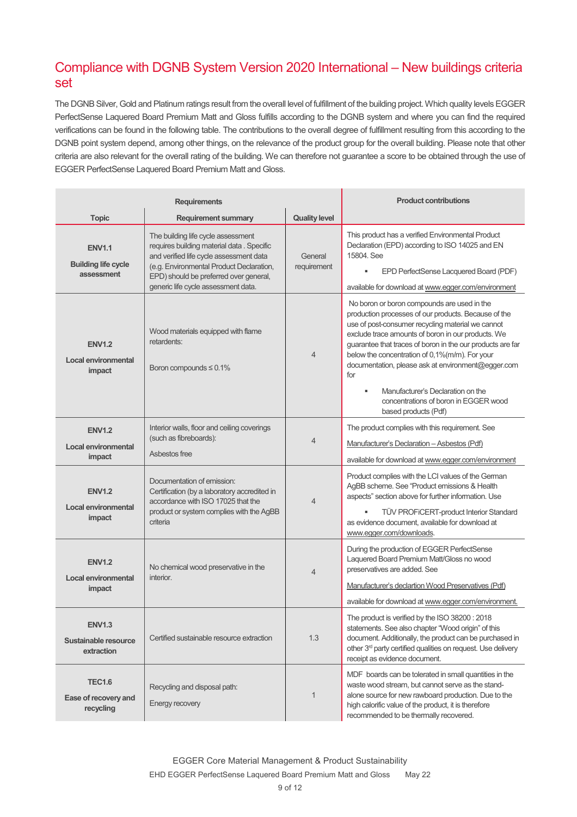# Compliance with DGNB System Version 2020 International – New buildings criteria set

The DGNB Silver, Gold and Platinum ratings result from the overall level of fulfillment of the building project. Which quality levels EGGER PerfectSense Laquered Board Premium Matt and Gloss fulfills according to the DGNB system and where you can find the required verifications can be found in the following table. The contributions to the overall degree of fulfillment resulting from this according to the DGNB point system depend, among other things, on the relevance of the product group for the overall building. Please note that other criteria are also relevant for the overall rating of the building. We can therefore not guarantee a score to be obtained through the use of EGGER PerfectSense Laquered Board Premium Matt and Gloss.

| <b>Requirements</b>                                       |                                                                                                                                                                                                                                                          |                        | <b>Product contributions</b>                                                                                                                                                                                                                                                                                                                                                                                                                                                                           |
|-----------------------------------------------------------|----------------------------------------------------------------------------------------------------------------------------------------------------------------------------------------------------------------------------------------------------------|------------------------|--------------------------------------------------------------------------------------------------------------------------------------------------------------------------------------------------------------------------------------------------------------------------------------------------------------------------------------------------------------------------------------------------------------------------------------------------------------------------------------------------------|
| <b>Topic</b>                                              | <b>Requirement summary</b>                                                                                                                                                                                                                               | <b>Quality level</b>   |                                                                                                                                                                                                                                                                                                                                                                                                                                                                                                        |
| <b>ENV1.1</b><br><b>Building life cycle</b><br>assessment | The building life cycle assessment<br>requires building material data . Specific<br>and verified life cycle assessment data<br>(e.g. Environmental Product Declaration,<br>EPD) should be preferred over general,<br>generic life cycle assessment data. | General<br>requirement | This product has a verified Environmental Product<br>Declaration (EPD) according to ISO 14025 and EN<br>15804 See<br>EPD PerfectSense Lacquered Board (PDF)<br>٠<br>available for download at www.egger.com/environment                                                                                                                                                                                                                                                                                |
| <b>ENV1.2</b><br>Local environmental<br>impact            | Wood materials equipped with flame<br>retardents:<br>Boron compounds $\leq 0.1\%$                                                                                                                                                                        | 4                      | No boron or boron compounds are used in the<br>production processes of our products. Because of the<br>use of post-consumer recycling material we cannot<br>exclude trace amounts of boron in our products. We<br>guarantee that traces of boron in the our products are far<br>below the concentration of 0,1%(m/m). For your<br>documentation, please ask at environment@egger.com<br>for<br>Manufacturer's Declaration on the<br>٠<br>concentrations of boron in EGGER wood<br>based products (Pdf) |
| <b>ENV1.2</b><br><b>Local environmental</b><br>impact     | Interior walls, floor and ceiling coverings<br>(such as fibreboards):<br>Asbestos free                                                                                                                                                                   | $\overline{4}$         | The product complies with this requirement. See<br>Manufacturer's Declaration - Asbestos (Pdf)<br>available for download at www.egger.com/environment                                                                                                                                                                                                                                                                                                                                                  |
| <b>ENV1.2</b><br><b>Local environmental</b><br>impact     | Documentation of emission:<br>Certification (by a laboratory accredited in<br>accordance with ISO 17025 that the<br>product or system complies with the AgBB<br>criteria                                                                                 | 4                      | Product complies with the LCI values of the German<br>AgBB scheme. See "Product emissions & Health<br>aspects" section above for further information. Use<br><b>TÜV PROFICERT-product Interior Standard</b><br>as evidence document, available for download at<br>www.egger.com/downloads.                                                                                                                                                                                                             |
| <b>ENV1.2</b><br>Local environmental<br>impact            | No chemical wood preservative in the<br>interior.                                                                                                                                                                                                        | 4                      | During the production of EGGER PerfectSense<br>Laquered Board Premium Matt/Gloss no wood<br>preservatives are added. See<br>Manufacturer's declartion Wood Preservatives (Pdf)<br>available for download at www.egger.com/environment.                                                                                                                                                                                                                                                                 |
| <b>ENV1.3</b><br>Sustainable resource<br>extraction       | Certified sustainable resource extraction                                                                                                                                                                                                                | 1.3                    | The product is verified by the ISO 38200: 2018<br>statements. See also chapter "Wood origin" of this<br>document. Additionally, the product can be purchased in<br>other 3 <sup>rd</sup> party certified qualities on request. Use delivery<br>receipt as evidence document.                                                                                                                                                                                                                           |
| <b>TEC1.6</b><br>Ease of recovery and<br>recycling        | Recycling and disposal path:<br>Energy recovery                                                                                                                                                                                                          | 1                      | MDF boards can be tolerated in small quantities in the<br>waste wood stream, but cannot serve as the stand-<br>alone source for new rawboard production. Due to the<br>high calorific value of the product, it is therefore<br>recommended to be thermally recovered.                                                                                                                                                                                                                                  |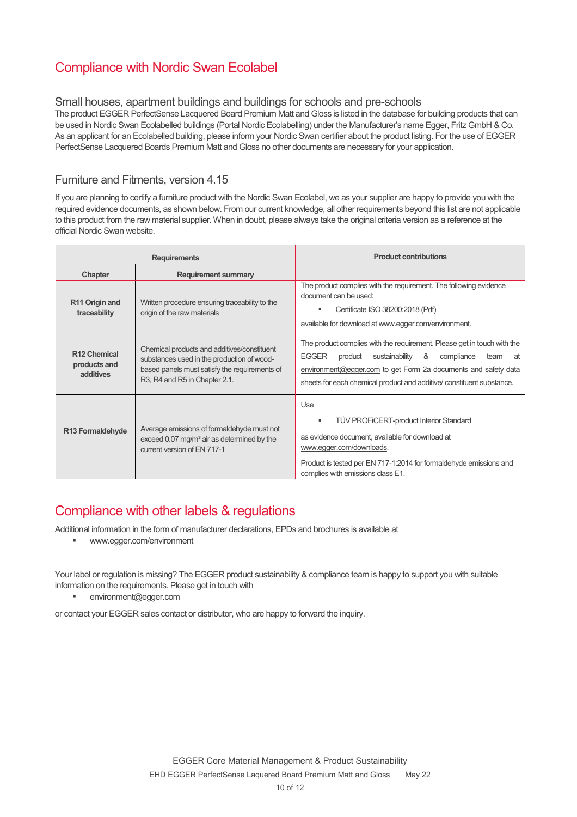# Compliance with Nordic Swan Ecolabel

#### Small houses, apartment buildings and buildings for schools and pre-schools

The product EGGER PerfectSense Lacquered Board Premium Matt and Gloss is listed in the database for building products that can be used in Nordic Swan Ecolabelled buildings (Portal Nordic Ecolabelling) under the Manufacturer's name Egger, Fritz GmbH & Co. As an applicant for an Ecolabelled building, please inform your Nordic Swan certifier about the product listing. For the use of EGGER PerfectSense Lacquered Boards Premium Matt and Gloss no other documents are necessary for your application.

### Furniture and Fitments, version 4.15

If you are planning to certify a furniture product with the Nordic Swan Ecolabel, we as your supplier are happy to provide you with the required evidence documents, as shown below. From our current knowledge, all other requirements beyond this list are not applicable to this product from the raw material supplier. When in doubt, please always take the original criteria version as a reference at the official Nordic Swan website.

| <b>Requirements</b>                                   |                                                                                                                                                                             | <b>Product contributions</b>                                                                                                                                                                                                                                                                     |
|-------------------------------------------------------|-----------------------------------------------------------------------------------------------------------------------------------------------------------------------------|--------------------------------------------------------------------------------------------------------------------------------------------------------------------------------------------------------------------------------------------------------------------------------------------------|
| Chapter                                               | <b>Requirement summary</b>                                                                                                                                                  |                                                                                                                                                                                                                                                                                                  |
| R11 Origin and<br>traceability                        | Written procedure ensuring traceability to the<br>origin of the raw materials                                                                                               | The product complies with the requirement. The following evidence<br>document can be used:<br>Certificate ISO 38200:2018 (Pdf)<br>available for download at www.egger.com/environment.                                                                                                           |
| R <sub>12</sub> Chemical<br>products and<br>additives | Chemical products and additives/constituent<br>substances used in the production of wood-<br>based panels must satisfy the requirements of<br>R3, R4 and R5 in Chapter 2.1. | The product complies with the requirement. Please get in touch with the<br><b>EGGER</b><br>sustainability<br>&<br>product<br>compliance<br>at<br>team<br>environment@egger.com to get Form 2a documents and safety data<br>sheets for each chemical product and additive/ constituent substance. |
| R13 Formaldehyde                                      | Average emissions of formaldehyde must not<br>exceed 0.07 mg/m <sup>3</sup> air as determined by the<br>current version of EN 717-1                                         | Use<br><b>TÜV PROFICERT-product Interior Standard</b><br>as evidence document, available for download at<br>www.egger.com/downloads.<br>Product is tested per EN 717-1:2014 for formaldehyde emissions and<br>complies with emissions class E1.                                                  |

## Compliance with other labels & regulations

Additional information in the form of manufacturer declarations, EPDs and brochures is available at

www.egger.com/environment

Your label or regulation is missing? The EGGER product sustainability & compliance team is happy to support you with suitable information on the requirements. Please get in touch with

environment@egger.com

or contact your EGGER sales contact or distributor, who are happy to forward the inquiry.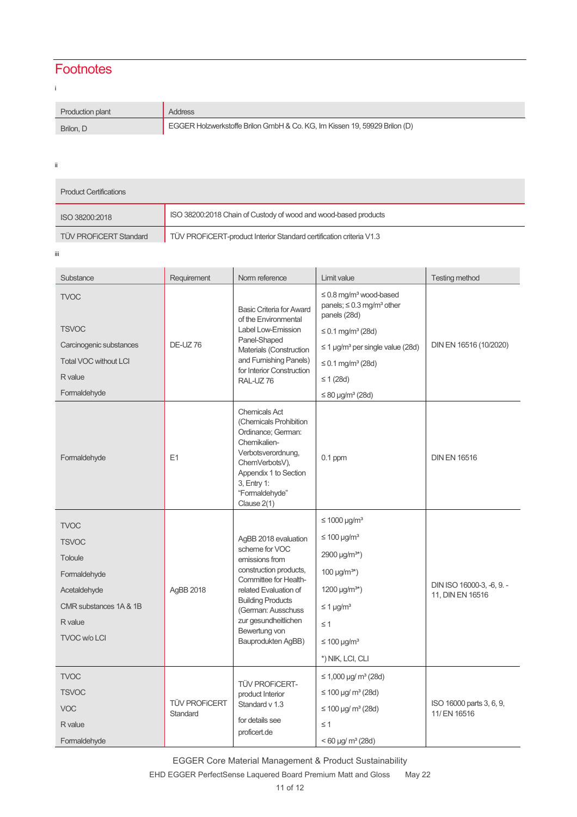# **Footnotes**

i

| Production plant | Address                                                                   |
|------------------|---------------------------------------------------------------------------|
| Brilon, D        | EGGER Holzwerkstoffe Brilon GmbH & Co. KG, Im Kissen 19, 59929 Brilon (D) |

ii

T.

| <b>Product Certifications</b> |                                                                     |  |  |  |
|-------------------------------|---------------------------------------------------------------------|--|--|--|
| ISO 38200:2018                | ISO 38200:2018 Chain of Custody of wood and wood-based products     |  |  |  |
| <b>TÜV PROFICERT Standard</b> | TÜV PROFICERT-product Interior Standard certification criteria V1.3 |  |  |  |

iii

| Substance                    | Requirement                      | Norm reference                                                                                                                                                                                                                                        | Limit value                                                                                           | <b>Testing method</b>                         |
|------------------------------|----------------------------------|-------------------------------------------------------------------------------------------------------------------------------------------------------------------------------------------------------------------------------------------------------|-------------------------------------------------------------------------------------------------------|-----------------------------------------------|
| <b>TVOC</b>                  | <b>DE-UZ76</b>                   | <b>Basic Criteria for Award</b><br>of the Environmental<br>Label Low-Emission<br>Panel-Shaped<br>Materials (Construction<br>and Furnishing Panels)<br>for Interior Construction<br>RAL-UZ76                                                           | $\leq$ 0.8 mg/m <sup>3</sup> wood-based<br>panels; $\leq 0.3$ mg/m <sup>3</sup> other<br>panels (28d) |                                               |
| <b>TSVOC</b>                 |                                  |                                                                                                                                                                                                                                                       | ≤ 0.1 mg/m <sup>3</sup> (28d)                                                                         | DIN EN 16516 (10/2020)                        |
| Carcinogenic substances      |                                  |                                                                                                                                                                                                                                                       | $\leq$ 1 µg/m <sup>3</sup> per single value (28d)                                                     |                                               |
| <b>Total VOC without LCI</b> |                                  |                                                                                                                                                                                                                                                       | ≤ 0.1 mg/m <sup>3</sup> (28d)                                                                         |                                               |
| R value                      |                                  |                                                                                                                                                                                                                                                       | ≤ 1 (28d)                                                                                             |                                               |
| Formaldehyde                 |                                  |                                                                                                                                                                                                                                                       | $≤ 80 \mu g/m^3 (28d)$                                                                                |                                               |
| Formaldehyde                 | E1                               | <b>Chemicals Act</b><br>(Chemicals Prohibition<br>Ordinance; German:<br>Chemikalien-<br>Verbotsverordnung,<br>ChemVerbotsV),<br>Appendix 1 to Section<br>3, Entry 1:<br>"Formaldehyde"<br>Clause 2(1)                                                 | $0.1$ ppm                                                                                             | <b>DIN EN 16516</b>                           |
| <b>TVOC</b>                  |                                  |                                                                                                                                                                                                                                                       | $\leq 1000 \text{ µg/m}^3$                                                                            |                                               |
| <b>TSVOC</b>                 |                                  | AgBB 2018 evaluation<br>scheme for VOC<br>emissions from<br>construction products,<br>Committee for Health-<br>related Evaluation of<br><b>Building Products</b><br>(German: Ausschuss<br>zur gesundheitlichen<br>Bewertung von<br>Bauprodukten AgBB) | $\leq 100 \mu g/m^3$                                                                                  | DIN ISO 16000-3, -6, 9. -<br>11, DIN EN 16516 |
| Toloule                      |                                  |                                                                                                                                                                                                                                                       | $2900 \mu g/m^{3*}$                                                                                   |                                               |
| Formaldehyde                 |                                  |                                                                                                                                                                                                                                                       | $100 \mu g/m^{3*}$                                                                                    |                                               |
| Acetaldehyde                 | AgBB 2018                        |                                                                                                                                                                                                                                                       | $1200 \mu g/m^{3*}$                                                                                   |                                               |
| CMR substances 1A & 1B       |                                  |                                                                                                                                                                                                                                                       | $\leq$ 1 µg/m <sup>3</sup>                                                                            |                                               |
| R value                      |                                  |                                                                                                                                                                                                                                                       | $\leq$ 1                                                                                              |                                               |
| <b>TVOC w/o LCI</b>          |                                  |                                                                                                                                                                                                                                                       | $\leq 100 \mu g/m^3$                                                                                  |                                               |
|                              |                                  |                                                                                                                                                                                                                                                       | *) NIK, LCI, CLI                                                                                      |                                               |
| <b>TVOC</b>                  | <b>TÜV PROFICERT</b><br>Standard | <b>TÜV PROFICERT-</b><br>product Interior<br>Standard v 1.3<br>for details see<br>proficert.de                                                                                                                                                        | $\leq$ 1,000 µg/ m <sup>3</sup> (28d)                                                                 | ISO 16000 parts 3, 6, 9,<br>11/ EN 16516      |
| <b>TSVOC</b>                 |                                  |                                                                                                                                                                                                                                                       | $≤ 100 \mu q/m^3 (28d)$                                                                               |                                               |
| <b>VOC</b>                   |                                  |                                                                                                                                                                                                                                                       | $≤ 100 \mu q/m^3 (28d)$                                                                               |                                               |
| R value                      |                                  |                                                                                                                                                                                                                                                       | $\leq$ 1                                                                                              |                                               |
| Formaldehyde                 |                                  |                                                                                                                                                                                                                                                       | $< 60 \mu g/m^3 (28d)$                                                                                |                                               |

EGGER Core Material Management & Product Sustainability